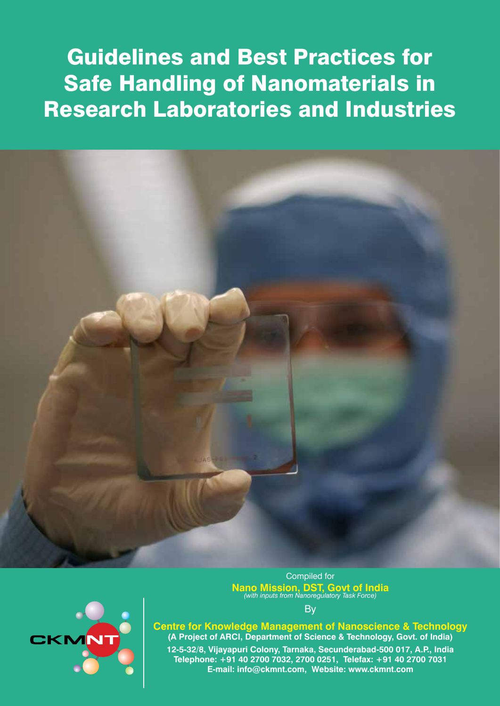# Guidelines and Best Practices for Safe Handling of Nanomaterials in Research Laboratories and Industries





**Nano Mission, DST, Govt of India** *(with inputs from Nanoregulatory Task Force)*

**B** 

**Centre for Knowledge Management of Nanoscience & Technology (A Project of ARCI, Department of Science & Technology, Govt. of India) 12-5-32/8, Vijayapuri Colony, Tarnaka, Secunderabad-500 017, A.P., India Telephone: +91 40 2700 7032, 2700 0251, Telefax: +91 40 2700 7031 E-mail: info@ckmnt.com, Website: www.ckmnt.com**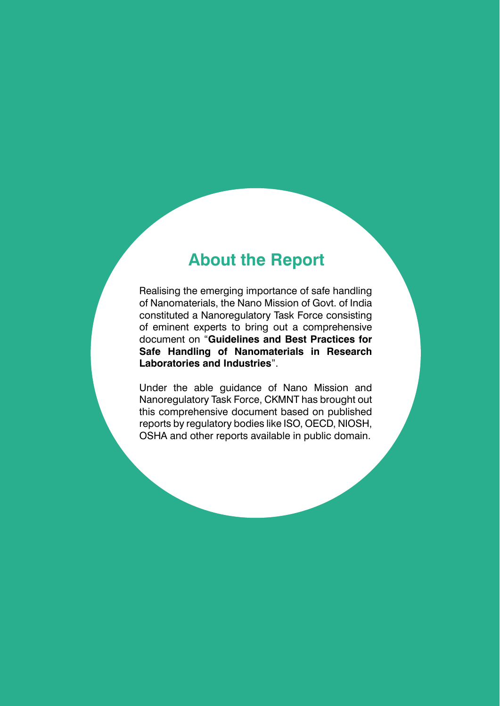# **About the Report**

Realising the emerging importance of safe handling of Nanomaterials, the Nano Mission of Govt. of India constituted a Nanoregulatory Task Force consisting of eminent experts to bring out a comprehensive document on "**Guidelines and Best Practices for Safe Handling of Nanomaterials in Research Laboratories and Industries**".

Under the able guidance of Nano Mission and Nanoregulatory Task Force, CKMNT has brought out this comprehensive document based on published reports by regulatory bodies like ISO, OECD, NIOSH, OSHA and other reports available in public domain.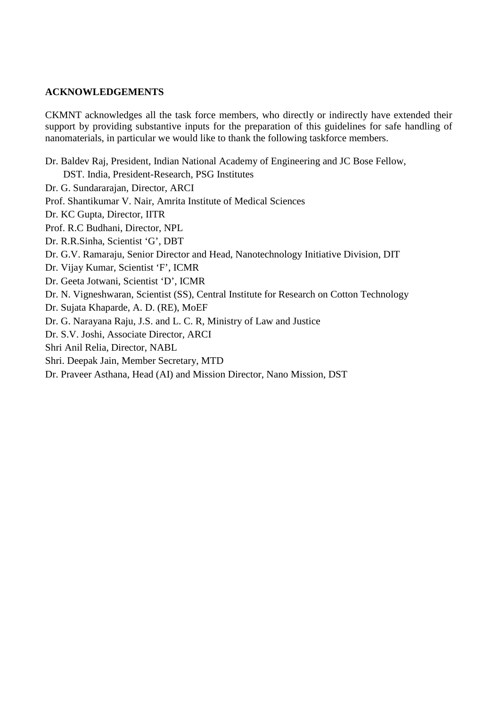#### **ACKNOWLEDGEMENTS**

CKMNT acknowledges all the task force members, who directly or indirectly have extended their support by providing substantive inputs for the preparation of this guidelines for safe handling of nanomaterials, in particular we would like to thank the following taskforce members.

Dr. Baldev Raj, President, Indian National Academy of Engineering and JC Bose Fellow, DST. India, President-Research, PSG Institutes Dr. G. Sundararajan, Director, ARCI Prof. Shantikumar V. Nair, Amrita Institute of Medical Sciences Dr. KC Gupta, Director, IITR Prof. R.C Budhani, Director, NPL Dr. R.R.Sinha, Scientist 'G', DBT Dr. G.V. Ramaraju, Senior Director and Head, Nanotechnology Initiative Division, DIT Dr. Vijay Kumar, Scientist 'F', ICMR Dr. Geeta Jotwani, Scientist 'D', ICMR Dr. N. Vigneshwaran, Scientist (SS), Central Institute for Research on Cotton Technology Dr. Sujata Khaparde, A. D. (RE), MoEF Dr. G. Narayana Raju, J.S. and L. C. R, Ministry of Law and Justice Dr. S.V. Joshi, Associate Director, ARCI Shri Anil Relia, Director, NABL Shri. Deepak Jain, Member Secretary, MTD Dr. Praveer Asthana, Head (AI) and Mission Director, Nano Mission, DST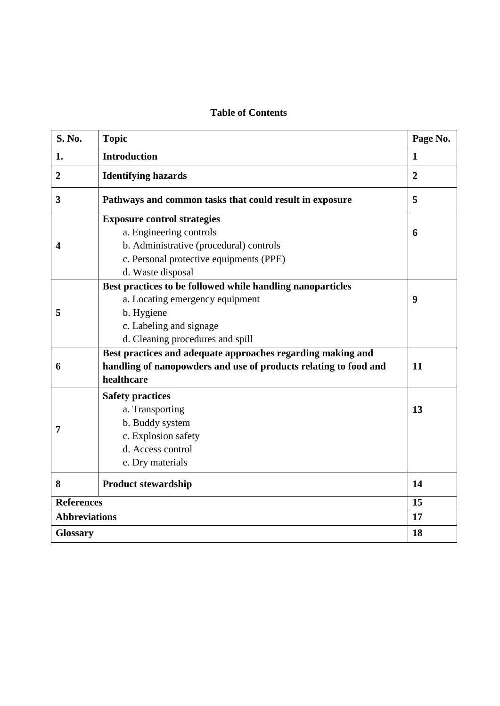# **Table of Contents**

| <b>S. No.</b>           | <b>Topic</b>                                                     | Page No.       |
|-------------------------|------------------------------------------------------------------|----------------|
| 1.                      | <b>Introduction</b>                                              | $\mathbf{1}$   |
| $\overline{2}$          | <b>Identifying hazards</b>                                       | $\overline{2}$ |
| $\overline{\mathbf{3}}$ | Pathways and common tasks that could result in exposure          | 5              |
|                         | <b>Exposure control strategies</b>                               |                |
|                         | a. Engineering controls                                          | 6              |
| 4                       | b. Administrative (procedural) controls                          |                |
|                         | c. Personal protective equipments (PPE)                          |                |
|                         | d. Waste disposal                                                |                |
|                         | Best practices to be followed while handling nanoparticles       |                |
|                         | a. Locating emergency equipment                                  | 9              |
| 5                       | b. Hygiene                                                       |                |
|                         | c. Labeling and signage                                          |                |
|                         | d. Cleaning procedures and spill                                 |                |
|                         | Best practices and adequate approaches regarding making and      |                |
| 6                       | handling of nanopowders and use of products relating to food and | 11             |
|                         | healthcare                                                       |                |
|                         | <b>Safety practices</b>                                          |                |
|                         | a. Transporting                                                  | 13             |
|                         | b. Buddy system                                                  |                |
| 7                       | c. Explosion safety                                              |                |
|                         | d. Access control                                                |                |
|                         | e. Dry materials                                                 |                |
| 8                       | <b>Product stewardship</b>                                       | 14             |
|                         | <b>References</b>                                                |                |
| <b>Abbreviations</b>    |                                                                  | 17             |
| <b>Glossary</b>         |                                                                  | 18             |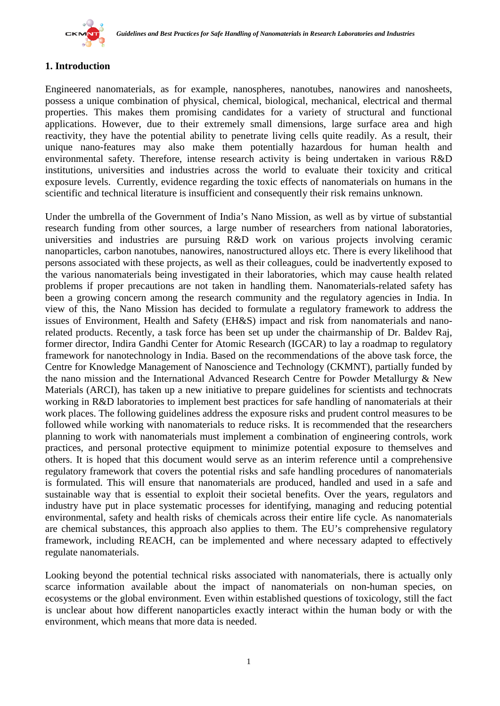

# **1. Introduction**

Engineered nanomaterials, as for example, nanospheres, nanotubes, nanowires and nanosheets, possess a unique combination of physical, chemical, biological, mechanical, electrical and thermal properties. This makes them promising candidates for a variety of structural and functional applications. However, due to their extremely small dimensions, large surface area and high reactivity, they have the potential ability to penetrate living cells quite readily. As a result, their unique nano-features may also make them potentially hazardous for human health and environmental safety. Therefore, intense research activity is being undertaken in various R&D institutions, universities and industries across the world to evaluate their toxicity and critical exposure levels. Currently, evidence regarding the toxic effects of nanomaterials on humans in the scientific and technical literature is insufficient and consequently their risk remains unknown.

Under the umbrella of the Government of India's Nano Mission, as well as by virtue of substantial research funding from other sources, a large number of researchers from national laboratories, universities and industries are pursuing R&D work on various projects involving ceramic nanoparticles, carbon nanotubes, nanowires, nanostructured alloys etc. There is every likelihood that persons associated with these projects, as well as their colleagues, could be inadvertently exposed to the various nanomaterials being investigated in their laboratories, which may cause health related problems if proper precautions are not taken in handling them. Nanomaterials-related safety has been a growing concern among the research community and the regulatory agencies in India. In view of this, the Nano Mission has decided to formulate a regulatory framework to address the issues of Environment, Health and Safety (EH&S) impact and risk from nanomaterials and nanorelated products. Recently, a task force has been set up under the chairmanship of Dr. Baldev Raj, former director, Indira Gandhi Center for Atomic Research (IGCAR) to lay a roadmap to regulatory framework for nanotechnology in India. Based on the recommendations of the above task force, the Centre for Knowledge Management of Nanoscience and Technology (CKMNT), partially funded by the nano mission and the International Advanced Research Centre for Powder Metallurgy & New Materials (ARCI), has taken up a new initiative to prepare guidelines for scientists and technocrats working in R&D laboratories to implement best practices for safe handling of nanomaterials at their work places. The following guidelines address the exposure risks and prudent control measures to be followed while working with nanomaterials to reduce risks. It is recommended that the researchers planning to work with nanomaterials must implement a combination of engineering controls, work practices, and personal protective equipment to minimize potential exposure to themselves and others. It is hoped that this document would serve as an interim reference until a comprehensive regulatory framework that covers the potential risks and safe handling procedures of nanomaterials is formulated. This will ensure that nanomaterials are produced, handled and used in a safe and sustainable way that is essential to exploit their societal benefits. Over the years, regulators and industry have put in place systematic processes for identifying, managing and reducing potential environmental, safety and health risks of chemicals across their entire life cycle. As nanomaterials are chemical substances, this approach also applies to them. The EU's comprehensive regulatory framework, including REACH, can be implemented and where necessary adapted to effectively regulate nanomaterials.

Looking beyond the potential technical risks associated with nanomaterials, there is actually only scarce information available about the impact of nanomaterials on non-human species, on ecosystems or the global environment. Even within established questions of toxicology, still the fact is unclear about how different nanoparticles exactly interact within the human body or with the environment, which means that more data is needed.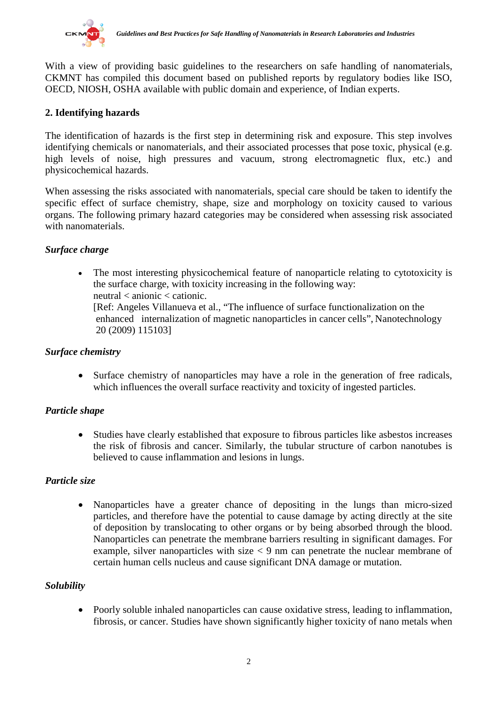

With a view of providing basic guidelines to the researchers on safe handling of nanomaterials, CKMNT has compiled this document based on published reports by regulatory bodies like ISO, OECD, NIOSH, OSHA available with public domain and experience, of Indian experts.

# **2. Identifying hazards**

The identification of hazards is the first step in determining risk and exposure. This step involves identifying chemicals or nanomaterials, and their associated processes that pose toxic, physical (e.g. high levels of noise, high pressures and vacuum, strong electromagnetic flux, etc.) and physicochemical hazards.

When assessing the risks associated with nanomaterials, special care should be taken to identify the specific effect of surface chemistry, shape, size and morphology on toxicity caused to various organs. The following primary hazard categories may be considered when assessing risk associated with nanomaterials.

# *Surface charge*

• The most interesting physicochemical feature of nanoparticle relating to cytotoxicity is the surface charge, with toxicity increasing in the following way: neutral < anionic < cationic. [Ref: Angeles Villanueva et al., "The influence of surface functionalization on the enhanced internalization of magnetic nanoparticles in cancer cells", Nanotechnology 20 (2009) 115103]

# *Surface chemistry*

• Surface chemistry of nanoparticles may have a role in the generation of free radicals, which influences the overall surface reactivity and toxicity of ingested particles.

# *Particle shape*

• Studies have clearly established that exposure to fibrous particles like asbestos increases the risk of fibrosis and cancer. Similarly, the tubular structure of carbon nanotubes is believed to cause inflammation and lesions in lungs.

# *Particle size*

• Nanoparticles have a greater chance of depositing in the lungs than micro-sized particles, and therefore have the potential to cause damage by acting directly at the site of deposition by translocating to other organs or by being absorbed through the blood. Nanoparticles can penetrate the membrane barriers resulting in significant damages. For example, silver nanoparticles with size  $\lt 9$  nm can penetrate the nuclear membrane of certain human cells nucleus and cause significant DNA damage or mutation.

# *Solubility*

• Poorly soluble inhaled nanoparticles can cause oxidative stress, leading to inflammation, fibrosis, or cancer. Studies have shown significantly higher toxicity of nano metals when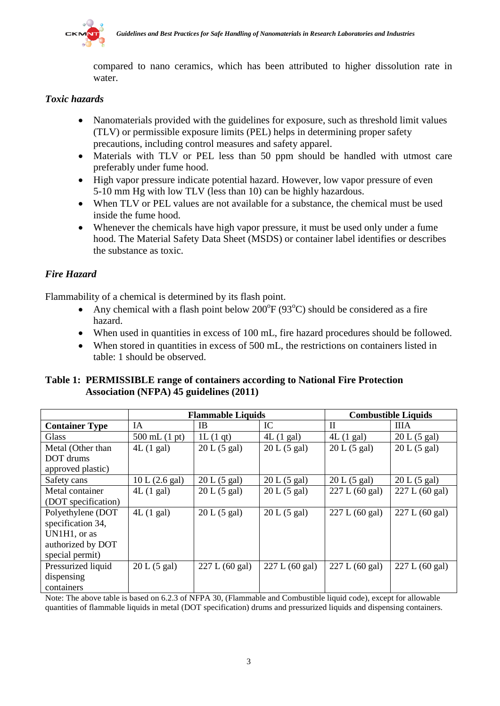

compared to nano ceramics, which has been attributed to higher dissolution rate in water.

# *Toxic hazards*

- Nanomaterials provided with the guidelines for exposure, such as threshold limit values (TLV) or permissible exposure limits (PEL) helps in determining proper safety precautions, including control measures and safety apparel.
- Materials with TLV or PEL less than 50 ppm should be handled with utmost care preferably under fume hood.
- High vapor pressure indicate potential hazard. However, low vapor pressure of even 5-10 mm Hg with low TLV (less than 10) can be highly hazardous.
- When TLV or PEL values are not available for a substance, the chemical must be used inside the fume hood.
- Whenever the chemicals have high vapor pressure, it must be used only under a fume hood. The Material Safety Data Sheet (MSDS) or container label identifies or describes the substance as toxic.

# *Fire Hazard*

Flammability of a chemical is determined by its flash point.

- Any chemical with a flash point below  $200^{\circ}F(93^{\circ}C)$  should be considered as a fire hazard.
- When used in quantities in excess of 100 mL, fire hazard procedures should be followed.
- When stored in quantities in excess of 500 mL, the restrictions on containers listed in table: 1 should be observed.

**Table 1: PERMISSIBLE range of containers according to National Fire Protection Association (NFPA) 45 guidelines (2011)**

|                       | <b>Flammable Liquids</b> |                | <b>Combustible Liquids</b> |                |                |
|-----------------------|--------------------------|----------------|----------------------------|----------------|----------------|
| <b>Container Type</b> | IA                       | <b>IB</b>      | IC                         | $\mathbf{I}$   | ШA             |
| <b>Glass</b>          | 500 mL $(1 pt)$          | 1L(1 qt)       | 4L(1 gal)                  | 4L(1 gal)      | 20 L (5 gal)   |
| Metal (Other than     | 4L(1 gal)                | 20 L (5 gal)   | 20 L (5 gal)               | 20 L (5 gal)   | 20 L (5 gal)   |
| DOT drums             |                          |                |                            |                |                |
| approved plastic)     |                          |                |                            |                |                |
| Safety cans           | 10 L (2.6 gal)           | 20 L (5 gal)   | 20 L (5 gal)               | 20 L (5 gal)   | 20 L (5 gal)   |
| Metal container       | 4L(1 gal)                | 20 L (5 gal)   | 20 L (5 gal)               | 227 L (60 gal) | 227 L (60 gal) |
| (DOT specification)   |                          |                |                            |                |                |
| Polyethylene (DOT     | 4L(1 gal)                | 20 L (5 gal)   | 20 L (5 gal)               | 227 L (60 gal) | 227 L (60 gal) |
| specification 34,     |                          |                |                            |                |                |
| UN1H1, or as          |                          |                |                            |                |                |
| authorized by DOT     |                          |                |                            |                |                |
| special permit)       |                          |                |                            |                |                |
| Pressurized liquid    | 20 L (5 gal)             | 227 L (60 gal) | 227 L (60 gal)             | 227 L (60 gal) | 227 L (60 gal) |
| dispensing            |                          |                |                            |                |                |
| containers            |                          |                |                            |                |                |

Note: The above table is based on 6.2.3 of NFPA 30, (Flammable and Combustible liquid code), except for allowable quantities of flammable liquids in metal (DOT specification) drums and pressurized liquids and dispensing containers.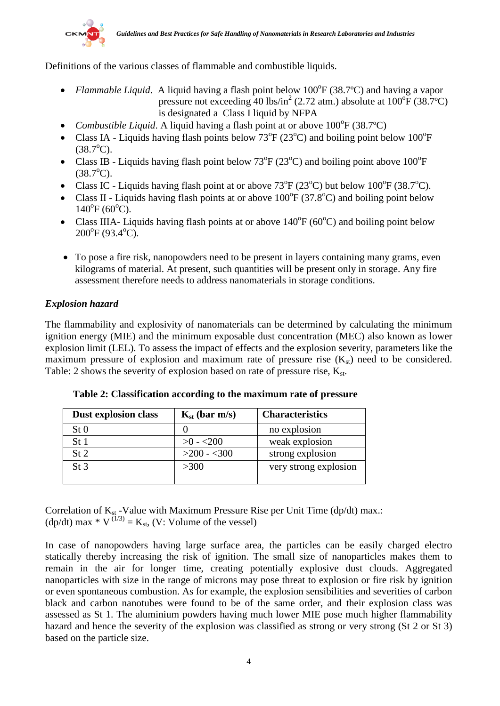

Definitions of the various classes of flammable and combustible liquids.

- *Flammable Liquid*. A liquid having a flash point below 100°F (38.7°C) and having a vapor pressure not exceeding 40 lbs/in<sup>2</sup> (2.72 atm.) absolute at  $100^{\circ}F(38.7^{\circ}C)$ is designated a Class I liquid by NFPA
- *Combustible Liquid*. A liquid having a flash point at or above 100°F (38.7°C)
- Class IA Liquids having flash points below  $73^{\circ}F(23^{\circ}C)$  and boiling point below  $100^{\circ}F$  $(38.7^{\circ}C).$
- Class IB Liquids having flash point below  $73^{\circ}F(23^{\circ}C)$  and boiling point above  $100^{\circ}F$  $(38.7^{\circ}C).$
- Class IC Liquids having flash point at or above  $73^{\circ}F(23^{\circ}C)$  but below  $100^{\circ}F(38.7^{\circ}C)$ .
- Class II Liquids having flash points at or above  $100^{\circ}F(37.8^{\circ}C)$  and boiling point below  $140^{\circ}$ F (60 $^{\circ}$ C).
- Class IIIA- Liquids having flash points at or above  $140^{\circ}F (60^{\circ}C)$  and boiling point below 200°F (93.4°C).
- To pose a fire risk, nanopowders need to be present in layers containing many grams, even kilograms of material. At present, such quantities will be present only in storage. Any fire assessment therefore needs to address nanomaterials in storage conditions.

# *Explosion hazard*

The flammability and explosivity of nanomaterials can be determined by calculating the minimum ignition energy (MIE) and the minimum exposable dust concentration (MEC) also known as lower explosion limit (LEL). To assess the impact of effects and the explosion severity, parameters like the maximum pressure of explosion and maximum rate of pressure rise  $(K_{st})$  need to be considered. Table: 2 shows the severity of explosion based on rate of pressure rise,  $K_{st}$ .

| <b>Dust explosion class</b> | $K_{st}$ (bar m/s) | <b>Characteristics</b> |
|-----------------------------|--------------------|------------------------|
| St <sub>0</sub>             |                    | no explosion           |
| St 1                        | $>0 - 200$         | weak explosion         |
| St2                         | $>200 - 300$       | strong explosion       |
| St <sub>3</sub>             | $>300$             | very strong explosion  |
|                             |                    |                        |

 **Table 2: Classification according to the maximum rate of pressure**

Correlation of  $K_{st}$  -Value with Maximum Pressure Rise per Unit Time (dp/dt) max.:  $(dp/dt)$  max  $* V^{(1/3)} = K_{st}$ , (V: Volume of the vessel)

In case of nanopowders having large surface area, the particles can be easily charged electro statically thereby increasing the risk of ignition. The small size of nanoparticles makes them to remain in the air for longer time, creating potentially explosive dust clouds. Aggregated nanoparticles with size in the range of microns may pose threat to explosion or fire risk by ignition or even spontaneous combustion. As for example, the explosion sensibilities and severities of carbon black and carbon nanotubes were found to be of the same order, and their explosion class was assessed as St 1. The aluminium powders having much lower MIE pose much higher flammability hazard and hence the severity of the explosion was classified as strong or very strong (St 2 or St 3) based on the particle size.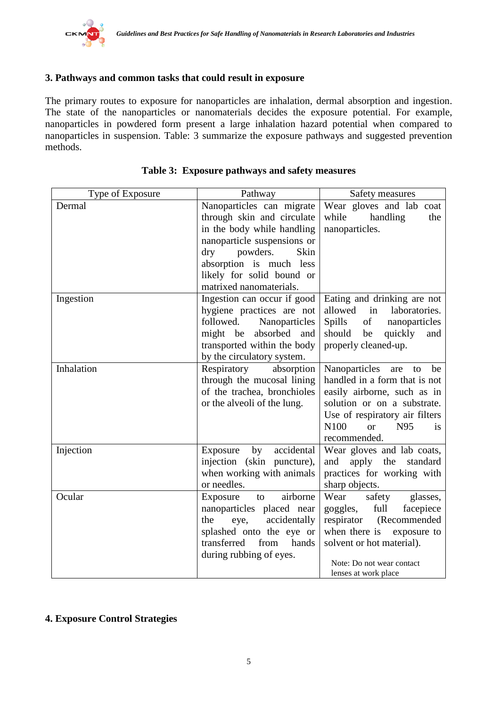# **3. Pathways and common tasks that could result in exposure**

The primary routes to exposure for nanoparticles are inhalation, dermal absorption and ingestion. The state of the nanoparticles or nanomaterials decides the exposure potential. For example, nanoparticles in powdered form present a large inhalation hazard potential when compared to nanoparticles in suspension. Table: 3 summarize the exposure pathways and suggested prevention methods.

| Type of Exposure | Pathway                                                                                                                                                                                                                                   | Safety measures                                                                                                                                                                                           |  |
|------------------|-------------------------------------------------------------------------------------------------------------------------------------------------------------------------------------------------------------------------------------------|-----------------------------------------------------------------------------------------------------------------------------------------------------------------------------------------------------------|--|
| Dermal           | Nanoparticles can migrate<br>through skin and circulate<br>in the body while handling<br>nanoparticle suspensions or<br>$\rm{dry}$<br>powders.<br>Skin<br>absorption is much less<br>likely for solid bound or<br>matrixed nanomaterials. | Wear gloves and lab<br>coat<br>while<br>handling<br>the<br>nanoparticles.                                                                                                                                 |  |
| Ingestion        | Ingestion can occur if good<br>hygiene practices are not<br>followed. Nanoparticles<br>might be absorbed and<br>transported within the body<br>by the circulatory system.                                                                 | Eating and drinking are not<br>allowed<br>laboratories.<br>in<br>Spills<br>of<br>nanoparticles<br>should<br>quickly<br>be<br>and<br>properly cleaned-up.                                                  |  |
| Inhalation       | Respiratory<br>absorption<br>through the mucosal lining<br>of the trachea, bronchioles<br>or the alveoli of the lung.                                                                                                                     | Nanoparticles are<br>be<br>to<br>handled in a form that is not<br>easily airborne, such as in<br>solution or on a substrate.<br>Use of respiratory air filters<br>N100<br>N95<br>or<br>is<br>recommended. |  |
| Injection        | accidental<br>by<br>Exposure<br>injection (skin puncture),<br>when working with animals<br>or needles.                                                                                                                                    | Wear gloves and lab coats,<br>apply<br>the<br>standard<br>and<br>practices for working with<br>sharp objects.                                                                                             |  |
| Ocular           | airborne<br>Exposure<br>to<br>nanoparticles placed near<br>accidentally<br>the<br>eye,<br>splashed onto the eye or<br>from<br>transferred<br>hands<br>during rubbing of eyes.                                                             | Wear<br>safety<br>glasses,<br>full<br>goggles,<br>facepiece<br>respirator (Recommended<br>when there is<br>exposure to<br>solvent or hot material).<br>Note: Do not wear contact<br>lenses at work place  |  |

| Table 3: Exposure pathways and safety measures |  |  |
|------------------------------------------------|--|--|
|                                                |  |  |

# **4. Exposure Control Strategies**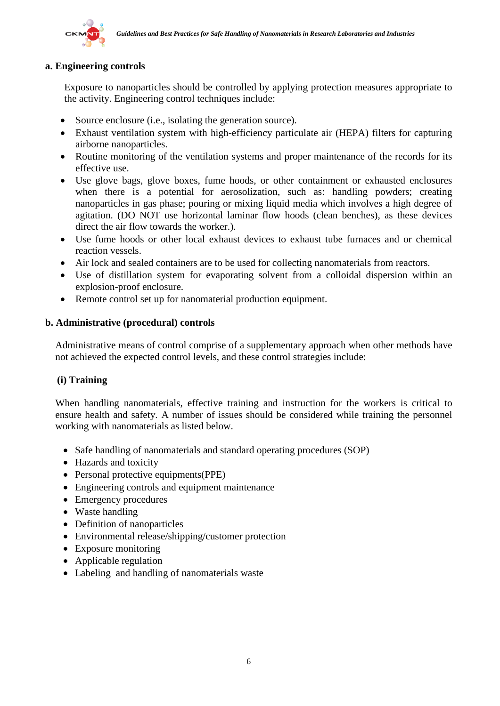

#### **a. Engineering controls**

Exposure to nanoparticles should be controlled by applying protection measures appropriate to the activity. Engineering control techniques include:

- Source enclosure (i.e., isolating the generation source).
- Exhaust ventilation system with high-efficiency particulate air (HEPA) filters for capturing airborne nanoparticles.
- Routine monitoring of the ventilation systems and proper maintenance of the records for its effective use.
- Use glove bags, glove boxes, fume hoods, or other containment or exhausted enclosures when there is a potential for aerosolization, such as: handling powders; creating nanoparticles in gas phase; pouring or mixing liquid media which involves a high degree of agitation. (DO NOT use horizontal laminar flow hoods (clean benches), as these devices direct the air flow towards the worker.).
- Use fume hoods or other local exhaust devices to exhaust tube furnaces and or chemical reaction vessels.
- Air lock and sealed containers are to be used for collecting nanomaterials from reactors.
- Use of distillation system for evaporating solvent from a colloidal dispersion within an explosion-proof enclosure.
- Remote control set up for nanomaterial production equipment.

#### **b. Administrative (procedural) controls**

Administrative means of control comprise of a supplementary approach when other methods have not achieved the expected control levels, and these control strategies include:

#### **(i) Training**

When handling nanomaterials, effective training and instruction for the workers is critical to ensure health and safety. A number of issues should be considered while training the personnel working with nanomaterials as listed below.

- Safe handling of nanomaterials and standard operating procedures (SOP)
- Hazards and toxicity
- Personal protective equipments(PPE)
- Engineering controls and equipment maintenance
- Emergency procedures
- Waste handling
- Definition of nanoparticles
- Environmental release/shipping/customer protection
- Exposure monitoring
- Applicable regulation
- Labeling and handling of nanomaterials waste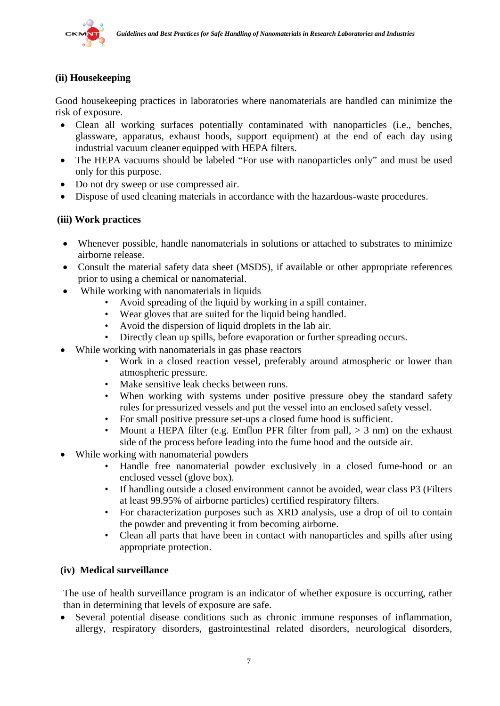

# **(ii) Housekeeping**

Good housekeeping practices in laboratories where nanomaterials are handled can minimize the risk of exposure.

- Clean all working surfaces potentially contaminated with nanoparticles (i.e., benches, glassware, apparatus, exhaust hoods, support equipment) at the end of each day using industrial vacuum cleaner equipped with HEPA filters.
- The HEPA vacuums should be labeled "For use with nanoparticles only" and must be used only for this purpose.
- Do not dry sweep or use compressed air.
- Dispose of used cleaning materials in accordance with the hazardous-waste procedures.

# **(iii) Work practices**

- Whenever possible, handle nanomaterials in solutions or attached to substrates to minimize airborne release.
- Consult the material safety data sheet (MSDS), if available or other appropriate references prior to using a chemical or nanomaterial.
- While working with nanomaterials in liquids
	- Avoid spreading of the liquid by working in a spill container.
	- Wear gloves that are suited for the liquid being handled.
	- Avoid the dispersion of liquid droplets in the lab air.
	- Directly clean up spills, before evaporation or further spreading occurs.
- While working with nanomaterials in gas phase reactors
	- Work in a closed reaction vessel, preferably around atmospheric or lower than atmospheric pressure.
	- Make sensitive leak checks between runs.
	- When working with systems under positive pressure obey the standard safety rules for pressurized vessels and put the vessel into an enclosed safety vessel.
	- For small positive pressure set-ups a closed fume hood is sufficient.
	- Mount a HEPA filter (e.g. Emflon PFR filter from pall,  $> 3$  nm) on the exhaust side of the process before leading into the fume hood and the outside air.
- While working with nanomaterial powders
	- Handle free nanomaterial powder exclusively in a closed fume-hood or an enclosed vessel (glove box).
	- If handling outside a closed environment cannot be avoided, wear class P3 (Filters at least 99.95% of airborne particles) certified respiratory filters.
	- For characterization purposes such as XRD analysis, use a drop of oil to contain the powder and preventing it from becoming airborne.
	- Clean all parts that have been in contact with nanoparticles and spills after using appropriate protection.

#### **(iv) Medical surveillance**

The use of health surveillance program is an indicator of whether exposure is occurring, rather than in determining that levels of exposure are safe.

Several potential disease conditions such as chronic immune responses of inflammation, allergy, respiratory disorders, gastrointestinal related disorders, neurological disorders,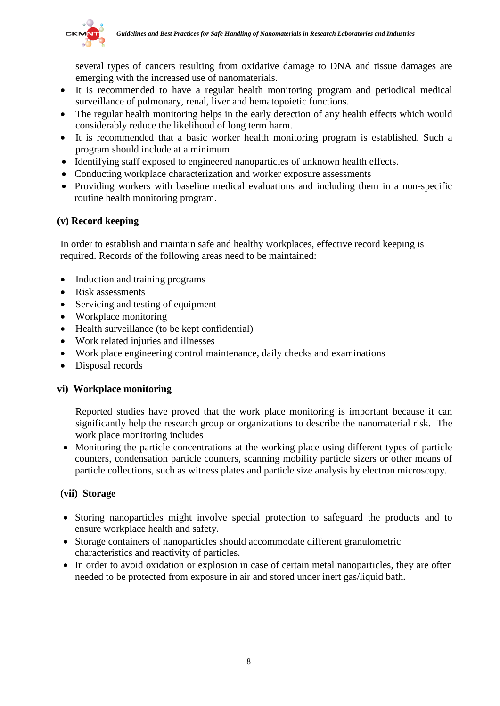

several types of cancers resulting from oxidative damage to DNA and tissue damages are emerging with the increased use of nanomaterials.

- It is recommended to have a regular health monitoring program and periodical medical surveillance of pulmonary, renal, liver and hematopoietic functions.
- The regular health monitoring helps in the early detection of any health effects which would considerably reduce the likelihood of long term harm.
- It is recommended that a basic worker health monitoring program is established. Such a program should include at a minimum
- Identifying staff exposed to engineered nanoparticles of unknown health effects.
- Conducting workplace characterization and worker exposure assessments
- Providing workers with baseline medical evaluations and including them in a non-specific routine health monitoring program.

# **(v) Record keeping**

In order to establish and maintain safe and healthy workplaces, effective record keeping is required. Records of the following areas need to be maintained:

- Induction and training programs
- Risk assessments
- Servicing and testing of equipment
- Workplace monitoring
- Health surveillance (to be kept confidential)
- Work related injuries and illnesses
- Work place engineering control maintenance, daily checks and examinations
- Disposal records

#### **vi) Workplace monitoring**

Reported studies have proved that the work place monitoring is important because it can significantly help the research group or organizations to describe the nanomaterial risk. The work place monitoring includes

• Monitoring the particle concentrations at the working place using different types of particle counters, condensation particle counters, scanning mobility particle sizers or other means of particle collections, such as witness plates and particle size analysis by electron microscopy.

#### **(vii) Storage**

- Storing nanoparticles might involve special protection to safeguard the products and to ensure workplace health and safety.
- Storage containers of nanoparticles should accommodate different granulometric characteristics and reactivity of particles.
- In order to avoid oxidation or explosion in case of certain metal nanoparticles, they are often needed to be protected from exposure in air and stored under inert gas/liquid bath.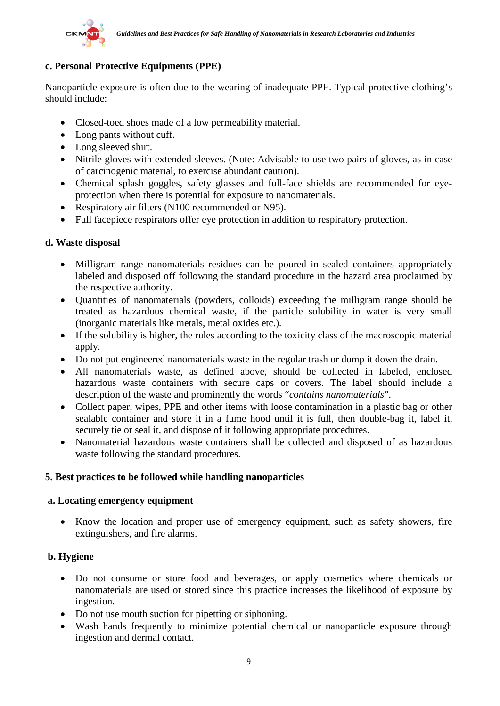

# **c. Personal Protective Equipments (PPE)**

Nanoparticle exposure is often due to the wearing of inadequate PPE. Typical protective clothing's should include:

- Closed-toed shoes made of a low permeability material.
- Long pants without cuff.
- Long sleeved shirt.
- Nitrile gloves with extended sleeves. (Note: Advisable to use two pairs of gloves, as in case of carcinogenic material, to exercise abundant caution).
- Chemical splash goggles, safety glasses and full-face shields are recommended for eyeprotection when there is potential for exposure to nanomaterials.
- Respiratory air filters (N100 recommended or N95).
- Full facepiece respirators offer eye protection in addition to respiratory protection.

#### **d. Waste disposal**

- Milligram range nanomaterials residues can be poured in sealed containers appropriately labeled and disposed off following the standard procedure in the hazard area proclaimed by the respective authority.
- Quantities of nanomaterials (powders, colloids) exceeding the milligram range should be treated as hazardous chemical waste, if the particle solubility in water is very small (inorganic materials like metals, metal oxides etc.).
- If the solubility is higher, the rules according to the toxicity class of the macroscopic material apply.
- Do not put engineered nanomaterials waste in the regular trash or dump it down the drain.
- All nanomaterials waste, as defined above, should be collected in labeled, enclosed hazardous waste containers with secure caps or covers. The label should include a description of the waste and prominently the words "*contains nanomaterials*".
- Collect paper, wipes, PPE and other items with loose contamination in a plastic bag or other sealable container and store it in a fume hood until it is full, then double-bag it, label it, securely tie or seal it, and dispose of it following appropriate procedures.
- Nanomaterial hazardous waste containers shall be collected and disposed of as hazardous waste following the standard procedures.

#### **5. Best practices to be followed while handling nanoparticles**

#### **a. Locating emergency equipment**

• Know the location and proper use of emergency equipment, such as safety showers, fire extinguishers, and fire alarms.

#### **b. Hygiene**

- Do not consume or store food and beverages, or apply cosmetics where chemicals or nanomaterials are used or stored since this practice increases the likelihood of exposure by ingestion.
- Do not use mouth suction for pipetting or siphoning.
- Wash hands frequently to minimize potential chemical or nanoparticle exposure through ingestion and dermal contact.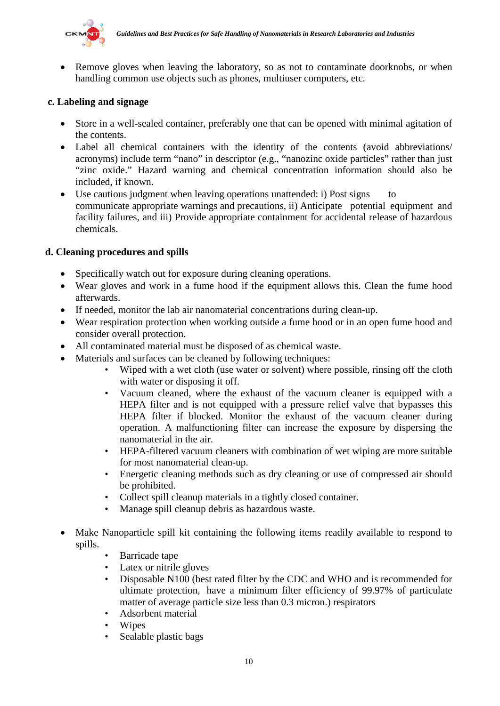

• Remove gloves when leaving the laboratory, so as not to contaminate doorknobs, or when handling common use objects such as phones, multiuser computers, etc.

#### **c. Labeling and signage**

- Store in a well-sealed container, preferably one that can be opened with minimal agitation of the contents.
- Label all chemical containers with the identity of the contents (avoid abbreviations/ acronyms) include term "nano" in descriptor (e.g., "nanozinc oxide particles" rather than just "zinc oxide." Hazard warning and chemical concentration information should also be included, if known.
- Use cautious judgment when leaving operations unattended: i) Post signs to communicate appropriate warnings and precautions, ii) Anticipate potential equipment and facility failures, and iii) Provide appropriate containment for accidental release of hazardous chemicals.

# **d. Cleaning procedures and spills**

- Specifically watch out for exposure during cleaning operations.
- Wear gloves and work in a fume hood if the equipment allows this. Clean the fume hood afterwards.
- If needed, monitor the lab air nanomaterial concentrations during clean-up.
- Wear respiration protection when working outside a fume hood or in an open fume hood and consider overall protection.
- All contaminated material must be disposed of as chemical waste.
- Materials and surfaces can be cleaned by following techniques:
	- Wiped with a wet cloth (use water or solvent) where possible, rinsing off the cloth with water or disposing it off.
	- Vacuum cleaned, where the exhaust of the vacuum cleaner is equipped with a HEPA filter and is not equipped with a pressure relief valve that bypasses this HEPA filter if blocked. Monitor the exhaust of the vacuum cleaner during operation. A malfunctioning filter can increase the exposure by dispersing the nanomaterial in the air.
	- HEPA-filtered vacuum cleaners with combination of wet wiping are more suitable for most nanomaterial clean-up.
	- Energetic cleaning methods such as dry cleaning or use of compressed air should be prohibited.
	- Collect spill cleanup materials in a tightly closed container.
	- Manage spill cleanup debris as hazardous waste.
- Make Nanoparticle spill kit containing the following items readily available to respond to spills.
	- Barricade tape
	- Latex or nitrile gloves
	- Disposable N100 (best rated filter by the CDC and WHO and is recommended for ultimate protection, have a minimum filter efficiency of 99.97% of particulate matter of average particle size less than 0.3 micron.) respirators
	- Adsorbent material
	- Wipes
	- Sealable plastic bags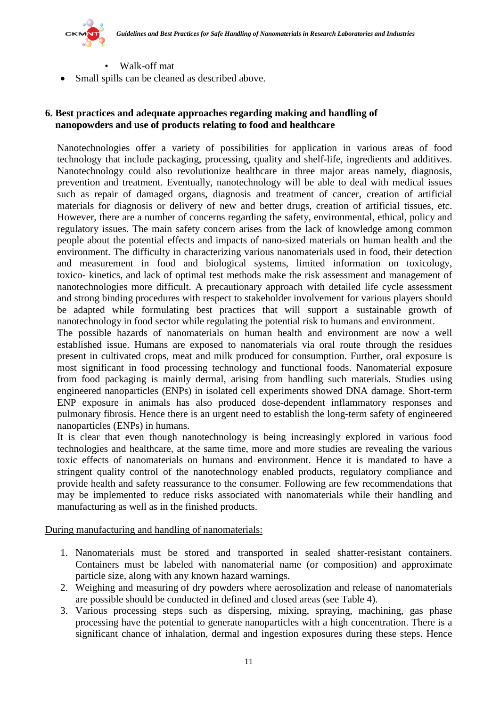

- Walk-off mat
- Small spills can be cleaned as described above.

#### **6. Best practices and adequate approaches regarding making and handling of nanopowders and use of products relating to food and healthcare**

Nanotechnologies offer a variety of possibilities for application in various areas of food technology that include packaging, processing, quality and shelf-life, ingredients and additives. Nanotechnology could also revolutionize healthcare in three major areas namely, diagnosis, prevention and treatment. Eventually, nanotechnology will be able to deal with medical issues such as repair of damaged organs, diagnosis and treatment of cancer, creation of artificial materials for diagnosis or delivery of new and better drugs, creation of artificial tissues, etc. However, there are a number of concerns regarding the safety, environmental, ethical, policy and regulatory issues. The main safety concern arises from the lack of knowledge among common people about the potential effects and impacts of nano-sized materials on human health and the environment. The difficulty in characterizing various nanomaterials used in food, their detection and measurement in food and biological systems, limited information on toxicology, toxico- kinetics, and lack of optimal test methods make the risk assessment and management of nanotechnologies more difficult. A precautionary approach with detailed life cycle assessment and strong binding procedures with respect to stakeholder involvement for various players should be adapted while formulating best practices that will support a sustainable growth of nanotechnology in food sector while regulating the potential risk to humans and environment.

The possible hazards of nanomaterials on human health and environment are now a well established issue. Humans are exposed to nanomaterials via oral route through the residues present in cultivated crops, meat and milk produced for consumption. Further, oral exposure is most significant in food processing technology and functional foods. Nanomaterial exposure from food packaging is mainly dermal, arising from handling such materials. Studies using engineered nanoparticles (ENPs) in isolated cell experiments showed DNA damage. Short-term ENP exposure in animals has also produced dose-dependent inflammatory responses and pulmonary fibrosis. Hence there is an urgent need to establish the long-term safety of engineered nanoparticles (ENPs) in humans.

It is clear that even though nanotechnology is being increasingly explored in various food technologies and healthcare, at the same time, more and more studies are revealing the various toxic effects of nanomaterials on humans and environment. Hence it is mandated to have a stringent quality control of the nanotechnology enabled products, regulatory compliance and provide health and safety reassurance to the consumer. Following are few recommendations that may be implemented to reduce risks associated with nanomaterials while their handling and manufacturing as well as in the finished products.

During manufacturing and handling of nanomaterials:

- 1. Nanomaterials must be stored and transported in sealed shatter-resistant containers. Containers must be labeled with nanomaterial name (or composition) and approximate particle size, along with any known hazard warnings.
- 2. Weighing and measuring of dry powders where aerosolization and release of nanomaterials are possible should be conducted in defined and closed areas (see Table 4).
- 3. Various processing steps such as dispersing, mixing, spraying, machining, gas phase processing have the potential to generate nanoparticles with a high concentration. There is a significant chance of inhalation, dermal and ingestion exposures during these steps. Hence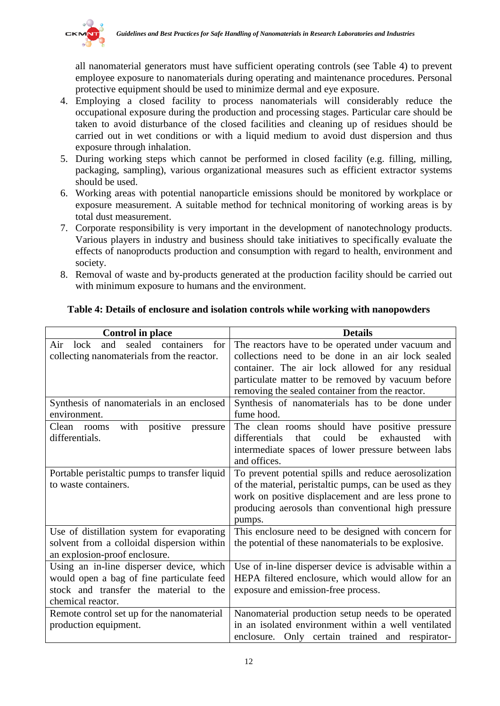

all nanomaterial generators must have sufficient operating controls (see Table 4) to prevent employee exposure to nanomaterials during operating and maintenance procedures. Personal protective equipment should be used to minimize dermal and eye exposure.

- 4. Employing a closed facility to process nanomaterials will considerably reduce the occupational exposure during the production and processing stages. Particular care should be taken to avoid disturbance of the closed facilities and cleaning up of residues should be carried out in wet conditions or with a liquid medium to avoid dust dispersion and thus exposure through inhalation.
- 5. During working steps which cannot be performed in closed facility (e.g. filling, milling, packaging, sampling), various organizational measures such as efficient extractor systems should be used.
- 6. Working areas with potential nanoparticle emissions should be monitored by workplace or exposure measurement. A suitable method for technical monitoring of working areas is by total dust measurement.
- 7. Corporate responsibility is very important in the development of nanotechnology products. Various players in industry and business should take initiatives to specifically evaluate the effects of nanoproducts production and consumption with regard to health, environment and society.
- 8. Removal of waste and by-products generated at the production facility should be carried out with minimum exposure to humans and the environment.

| <b>Control</b> in place                           | <b>Details</b>                                            |
|---------------------------------------------------|-----------------------------------------------------------|
| sealed<br>containers<br>for<br>Air<br>lock<br>and | The reactors have to be operated under vacuum and         |
| collecting nanomaterials from the reactor.        | collections need to be done in an air lock sealed         |
|                                                   | container. The air lock allowed for any residual          |
|                                                   | particulate matter to be removed by vacuum before         |
|                                                   | removing the sealed container from the reactor.           |
| Synthesis of nanomaterials in an enclosed         | Synthesis of nanomaterials has to be done under           |
| environment.                                      | fume hood.                                                |
| with<br>positive<br>Clean<br>pressure<br>rooms    | The clean rooms should have positive pressure             |
| differentials.                                    | could<br>exhausted<br>differentials<br>that<br>be<br>with |
|                                                   | intermediate spaces of lower pressure between labs        |
|                                                   | and offices.                                              |
| Portable peristaltic pumps to transfer liquid     | To prevent potential spills and reduce aerosolization     |
| to waste containers.                              | of the material, peristaltic pumps, can be used as they   |
|                                                   | work on positive displacement and are less prone to       |
|                                                   | producing aerosols than conventional high pressure        |
|                                                   | pumps.                                                    |
| Use of distillation system for evaporating        | This enclosure need to be designed with concern for       |
| solvent from a colloidal dispersion within        | the potential of these nanomaterials to be explosive.     |
| an explosion-proof enclosure.                     |                                                           |
| Using an in-line disperser device, which          | Use of in-line disperser device is advisable within a     |
| would open a bag of fine particulate feed         | HEPA filtered enclosure, which would allow for an         |
| stock and transfer the material to the            | exposure and emission-free process.                       |
| chemical reactor.                                 |                                                           |
| Remote control set up for the nanomaterial        | Nanomaterial production setup needs to be operated        |
| production equipment.                             | in an isolated environment within a well ventilated       |
|                                                   | enclosure. Only certain trained and respirator-           |

# **Table 4: Details of enclosure and isolation controls while working with nanopowders**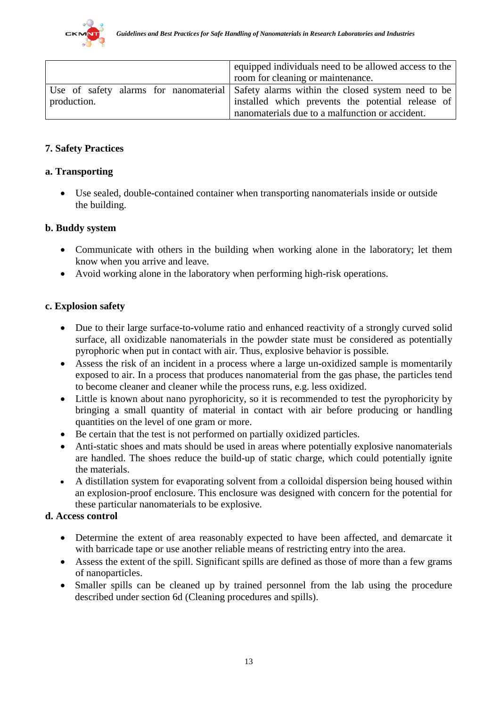

|             | equipped individuals need to be allowed access to the                                   |
|-------------|-----------------------------------------------------------------------------------------|
|             | room for cleaning or maintenance.                                                       |
|             | Use of safety alarms for nanomaterial Safety alarms within the closed system need to be |
| production. | installed which prevents the potential release of                                       |
|             | nanomaterials due to a malfunction or accident.                                         |

#### **7. Safety Practices**

#### **a. Transporting**

• Use sealed, double-contained container when transporting nanomaterials inside or outside the building.

#### **b. Buddy system**

- Communicate with others in the building when working alone in the laboratory; let them know when you arrive and leave.
- Avoid working alone in the laboratory when performing high-risk operations.

#### **c. Explosion safety**

- Due to their large surface-to-volume ratio and enhanced reactivity of a strongly curved solid surface, all oxidizable nanomaterials in the powder state must be considered as potentially pyrophoric when put in contact with air. Thus, explosive behavior is possible.
- Assess the risk of an incident in a process where a large un-oxidized sample is momentarily exposed to air. In a process that produces nanomaterial from the gas phase, the particles tend to become cleaner and cleaner while the process runs, e.g. less oxidized.
- Little is known about nano pyrophoricity, so it is recommended to test the pyrophoricity by bringing a small quantity of material in contact with air before producing or handling quantities on the level of one gram or more.
- Be certain that the test is not performed on partially oxidized particles.
- Anti-static shoes and mats should be used in areas where potentially explosive nanomaterials are handled. The shoes reduce the build-up of static charge, which could potentially ignite the materials.
- A distillation system for evaporating solvent from a colloidal dispersion being housed within an explosion-proof enclosure. This enclosure was designed with concern for the potential for these particular nanomaterials to be explosive.

#### **d. Access control**

- Determine the extent of area reasonably expected to have been affected, and demarcate it with barricade tape or use another reliable means of restricting entry into the area.
- Assess the extent of the spill. Significant spills are defined as those of more than a few grams of nanoparticles.
- Smaller spills can be cleaned up by trained personnel from the lab using the procedure described under section 6d (Cleaning procedures and spills).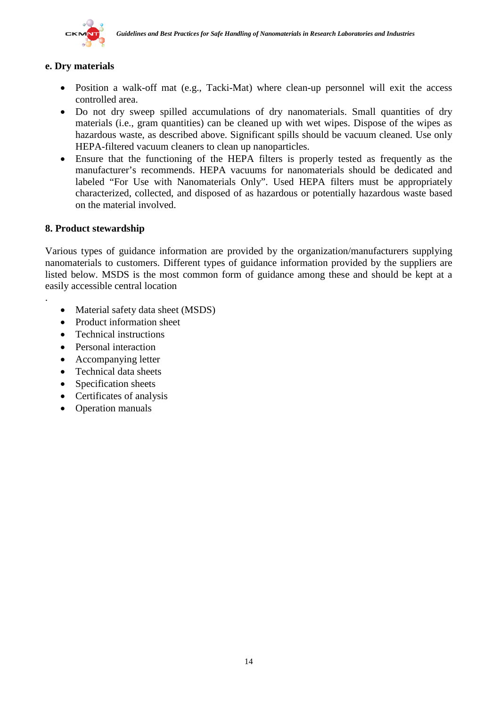

# **e. Dry materials**

- Position a walk-off mat (e.g., Tacki-Mat) where clean-up personnel will exit the access controlled area.
- Do not dry sweep spilled accumulations of dry nanomaterials. Small quantities of dry materials (i.e., gram quantities) can be cleaned up with wet wipes. Dispose of the wipes as hazardous waste, as described above. Significant spills should be vacuum cleaned. Use only HEPA-filtered vacuum cleaners to clean up nanoparticles.
- Ensure that the functioning of the HEPA filters is properly tested as frequently as the manufacturer's recommends. HEPA vacuums for nanomaterials should be dedicated and labeled "For Use with Nanomaterials Only". Used HEPA filters must be appropriately characterized, collected, and disposed of as hazardous or potentially hazardous waste based on the material involved.

#### **8. Product stewardship**

.

Various types of guidance information are provided by the organization/manufacturers supplying nanomaterials to customers. Different types of guidance information provided by the suppliers are listed below. MSDS is the most common form of guidance among these and should be kept at a easily accessible central location

- Material safety data sheet (MSDS)
- Product information sheet
- Technical instructions
- Personal interaction
- Accompanying letter
- Technical data sheets
- Specification sheets
- Certificates of analysis
- Operation manuals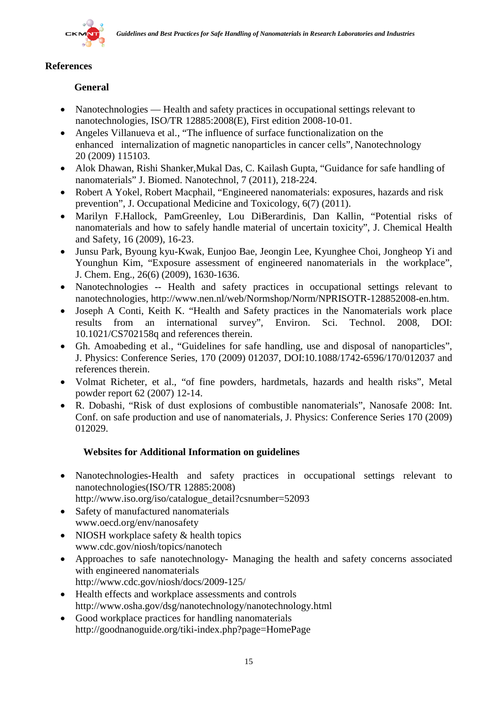

# **References**

# **General**

- Nanotechnologies Health and safety practices in occupational settings relevant to nanotechnologies, ISO/TR 12885:2008(E), First edition 2008-10-01.
- Angeles Villanueva et al., "The influence of surface functionalization on the enhanced internalization of magnetic nanoparticles in cancer cells", Nanotechnology 20 (2009) 115103.
- Alok Dhawan, Rishi Shanker,Mukal Das, C. Kailash Gupta, "Guidance for safe handling of nanomaterials" J. Biomed. Nanotechnol, 7 (2011), 218-224.
- Robert A Yokel, Robert Macphail, "Engineered nanomaterials: exposures, hazards and risk prevention", J. Occupational Medicine and Toxicology, 6(7) (2011).
- Marilyn F.Hallock, PamGreenley, Lou DiBerardinis, Dan Kallin, "Potential risks of nanomaterials and how to safely handle material of uncertain toxicity", J. Chemical Health and Safety, 16 (2009), 16-23.
- Junsu Park, Byoung kyu-Kwak, Eunjoo Bae, Jeongin Lee, Kyunghee Choi, Jongheop Yi and Younghun Kim, "Exposure assessment of engineered nanomaterials in the workplace", J. Chem. Eng., 26(6) (2009), 1630-1636.
- Nanotechnologies -- Health and safety practices in occupational settings relevant to nanotechnologies, http://www.nen.nl/web/Normshop/Norm/NPRISOTR-128852008-en.htm.
- Joseph A Conti, Keith K. "Health and Safety practices in the Nanomaterials work place results from an international survey", Environ. Sci. Technol. 2008, DOI: 10.1021/CS702158q and references therein.
- Gh. Amoabeding et al., "Guidelines for safe handling, use and disposal of nanoparticles", J. Physics: Conference Series, 170 (2009) 012037, DOI:10.1088/1742-6596/170/012037 and references therein.
- Volmat Richeter, et al., "of fine powders, hardmetals, hazards and health risks", Metal powder report 62 (2007) 12-14.
- R. Dobashi, "Risk of dust explosions of combustible nanomaterials", Nanosafe 2008: Int. Conf. on safe production and use of nanomaterials, J. Physics: Conference Series 170 (2009) 012029.

# **Websites for Additional Information on guidelines**

- Nanotechnologies-Health and safety practices in occupational settings relevant to nanotechnologies(ISO/TR 12885:2008[\)](http://www.iso.org/iso/rss.xml?csnumber=52093&rss=detail)
- http://www.iso.org/iso/catalogue\_detail?csnumber=52093
- Safety of manufactured nanomaterials www.oecd.org/env/nanosafety
- NIOSH [workplace safety & health topics](http://www.cdc.gov/niosh/topics/) www.cdc.gov/niosh/topics/nanotech
- Approaches to safe nanotechnology- Managing the health and safety concerns associated with engineered nanomaterials http://www.cdc.gov/niosh/docs/2009-125/
- Health effects and workplace assessments and controls http://www.osha.gov/dsg/nanotechnology/nanotechnology.html
- Good workplace practices for handling nanomaterials http://goodnanoguide.org/tiki-index.php?page=HomePage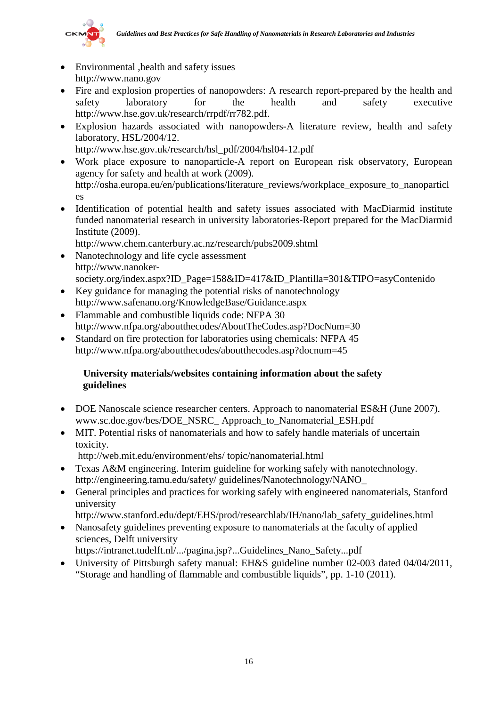

- Environmental , health and safety issues http://www.nano.gov
- Fire and explosion properties of nanopowders: A research report-prepared by the health and safety laboratory for the health and safety executive [http://www.hse.gov.uk/research/rrpdf/rr782.pdf.](http://www.hse.gov.uk/research/rrpdf/rr782.pdf)
- Explosion hazards associated with nanopowders-A literature review, health and safety laboratory, HSL/2004/12. http://www.hse.gov.uk/research/hsl\_pdf/2004/hsl04-12.pdf
- Work place exposure to nanoparticle-A report on European risk observatory, European agency for safety and health at work (2009).

[http://osha.europa.eu/en/publications/literature\\_reviews/workplace\\_exposure\\_to\\_nanoparticl](http://osha.europa.eu/en/publications/literature_reviews/workplace_exposure_to_nanoparticles) [es](http://osha.europa.eu/en/publications/literature_reviews/workplace_exposure_to_nanoparticles)

• Identification of potential health and safety issues associated with MacDiarmid institute funded nanomaterial research in university laboratories-Report prepared for the MacDiarmid Institute (2009).

http://www.chem.canterbury.ac.nz/research/pubs2009.shtml

- Nanotechnology and life cycle assessment http://www.nanokersociety.org/index.aspx?ID\_Page=158&ID=417&ID\_Plantilla=301&TIPO=asyContenido
- Key guidance for managing the potential risks of nanotechnology <http://www.safenano.org/KnowledgeBase/Guidance.aspx>
- Flammable and combustible liquids code: NFPA 30 <http://www.nfpa.org/aboutthecodes/AboutTheCodes.asp?DocNum=30>
- Standard on fire protection for laboratories using chemicals: NFPA 45 http://www.nfpa.org/aboutthecodes/aboutthecodes.asp?docnum=45

# **University materials/websites containing information about the safety guidelines**

- DOE Nanoscale science researcher centers. Approach to nanomaterial ES&H (June 2007). www.sc.doe.gov/bes/DOE\_NSRC\_ Approach\_to\_Nanomaterial\_ESH.pdf
- MIT. Potential risks of nanomaterials and how to safely handle materials of uncertain toxicity.
	- http://web.mit.edu/environment/ehs/ topic/nanomaterial.html
- Texas A&M engineering. Interim guideline for working safely with nanotechnology. http://engineering.tamu.edu/safety/ guidelines/Nanotechnology/NANO\_
- General principles and practices for working safely with engineered nanomaterials, Stanford university
	- http://www.stanford.edu/dept/EHS/prod/researchlab/IH/nano/lab\_safety\_guidelines.html
- Nanosafety guidelines preventing exposure to nanomaterials at the faculty of applied sciences, Delft university

https://intranet.tudelft.nl/.../pagina.jsp?...Guidelines\_Nano\_Safety...pdf

University of Pittsburgh safety manual: EH&S guideline number 02-003 dated 04/04/2011, "Storage and handling of flammable and combustible liquids", pp. 1-10 (2011).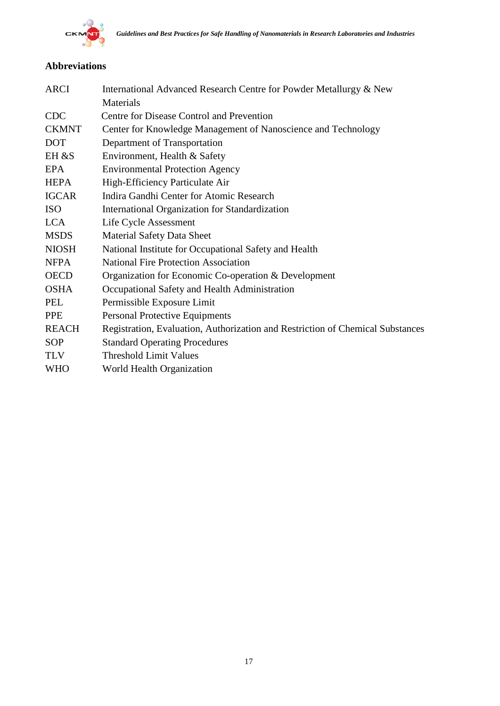

# **Abbreviations**

| ARCI         | International Advanced Research Centre for Powder Metallurgy & New             |
|--------------|--------------------------------------------------------------------------------|
|              | Materials                                                                      |
| <b>CDC</b>   | Centre for Disease Control and Prevention                                      |
| <b>CKMNT</b> | Center for Knowledge Management of Nanoscience and Technology                  |
| <b>DOT</b>   | Department of Transportation                                                   |
| EH &S        | Environment, Health & Safety                                                   |
| EPA          | <b>Environmental Protection Agency</b>                                         |
| <b>HEPA</b>  | High-Efficiency Particulate Air                                                |
| <b>IGCAR</b> | Indira Gandhi Center for Atomic Research                                       |
| <b>ISO</b>   | International Organization for Standardization                                 |
| <b>LCA</b>   | Life Cycle Assessment                                                          |
| <b>MSDS</b>  | <b>Material Safety Data Sheet</b>                                              |
| <b>NIOSH</b> | National Institute for Occupational Safety and Health                          |
| <b>NFPA</b>  | <b>National Fire Protection Association</b>                                    |
| <b>OECD</b>  | Organization for Economic Co-operation & Development                           |
| <b>OSHA</b>  | Occupational Safety and Health Administration                                  |
| PEL          | Permissible Exposure Limit                                                     |
| <b>PPE</b>   | <b>Personal Protective Equipments</b>                                          |
| <b>REACH</b> | Registration, Evaluation, Authorization and Restriction of Chemical Substances |
| <b>SOP</b>   | <b>Standard Operating Procedures</b>                                           |
| <b>TLV</b>   | <b>Threshold Limit Values</b>                                                  |
| <b>WHO</b>   | World Health Organization                                                      |
|              |                                                                                |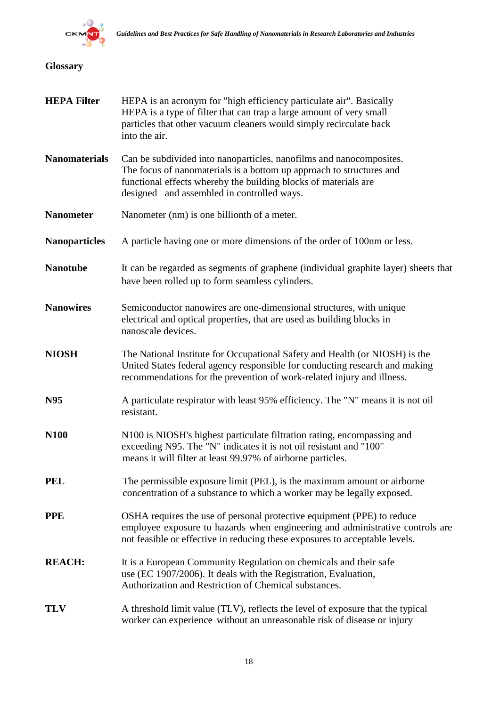

# **Glossary**

| <b>HEPA Filter</b>   | HEPA is an acronym for "high efficiency particulate air". Basically<br>HEPA is a type of filter that can trap a large amount of very small<br>particles that other vacuum cleaners would simply recirculate back<br>into the air.                            |
|----------------------|--------------------------------------------------------------------------------------------------------------------------------------------------------------------------------------------------------------------------------------------------------------|
| <b>Nanomaterials</b> | Can be subdivided into nanoparticles, nanofilms and nanocomposites.<br>The focus of nanomaterials is a bottom up approach to structures and<br>functional effects whereby the building blocks of materials are<br>designed and assembled in controlled ways. |
| <b>Nanometer</b>     | Nanometer (nm) is one billionth of a meter.                                                                                                                                                                                                                  |
| <b>Nanoparticles</b> | A particle having one or more dimensions of the order of 100nm or less.                                                                                                                                                                                      |
| <b>Nanotube</b>      | It can be regarded as segments of graphene (individual graphite layer) sheets that<br>have been rolled up to form seamless cylinders.                                                                                                                        |
| <b>Nanowires</b>     | Semiconductor nanowires are one-dimensional structures, with unique<br>electrical and optical properties, that are used as building blocks in<br>nanoscale devices.                                                                                          |
| <b>NIOSH</b>         | The National Institute for Occupational Safety and Health (or NIOSH) is the<br>United States federal agency responsible for conducting research and making<br>recommendations for the prevention of work-related injury and illness.                         |
| N95                  | A particulate respirator with least 95% efficiency. The "N" means it is not oil<br>resistant.                                                                                                                                                                |
| <b>N100</b>          | N100 is NIOSH's highest particulate filtration rating, encompassing and<br>exceeding N95. The "N" indicates it is not oil resistant and "100"<br>means it will filter at least 99.97% of airborne particles.                                                 |
| <b>PEL</b>           | The permissible exposure limit (PEL), is the maximum amount or airborne<br>concentration of a substance to which a worker may be legally exposed.                                                                                                            |
| <b>PPE</b>           | OSHA requires the use of personal protective equipment (PPE) to reduce<br>employee exposure to hazards when engineering and administrative controls are<br>not feasible or effective in reducing these exposures to acceptable levels.                       |
| <b>REACH:</b>        | It is a European Community Regulation on chemicals and their safe<br>use (EC 1907/2006). It deals with the Registration, Evaluation,<br>Authorization and Restriction of Chemical substances.                                                                |
| <b>TLV</b>           | A threshold limit value (TLV), reflects the level of exposure that the typical<br>worker can experience without an unreasonable risk of disease or injury                                                                                                    |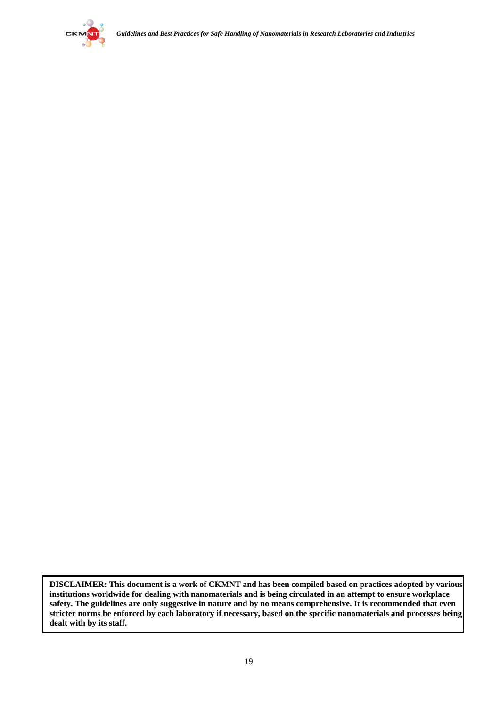

**DISCLAIMER: This document is a work of CKMNT and has been compiled based on practices adopted by various institutions worldwide for dealing with nanomaterials and is being circulated in an attempt to ensure workplace safety. The guidelines are only suggestive in nature and by no means comprehensive. It is recommended that even stricter norms be enforced by each laboratory if necessary, based on the specific nanomaterials and processes being dealt with by its staff.**